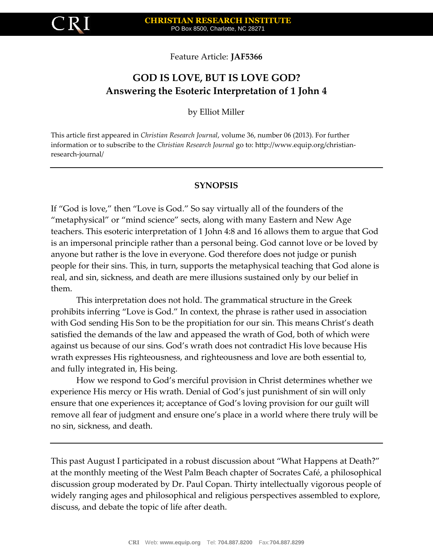

Feature Article: **JAF5366**

# **GOD IS LOVE, BUT IS LOVE GOD? Answering the Esoteric Interpretation of 1 John 4**

by Elliot Miller

This article first appeared in *Christian Research Journal*, volume 36, number 06 (2013). For further information or to subscribe to the *Christian Research Journal* go to: http://www.equip.org/christianresearch-journal/

### **SYNOPSIS**

If "God is love," then "Love is God." So say virtually all of the founders of the "metaphysical" or "mind science" sects, along with many Eastern and New Age teachers. This esoteric interpretation of 1 John 4:8 and 16 allows them to argue that God is an impersonal principle rather than a personal being. God cannot love or be loved by anyone but rather is the love in everyone. God therefore does not judge or punish people for their sins. This, in turn, supports the metaphysical teaching that God alone is real, and sin, sickness, and death are mere illusions sustained only by our belief in them.

This interpretation does not hold. The grammatical structure in the Greek prohibits inferring "Love is God." In context, the phrase is rather used in association with God sending His Son to be the propitiation for our sin. This means Christ's death satisfied the demands of the law and appeased the wrath of God, both of which were against us because of our sins. God's wrath does not contradict His love because His wrath expresses His righteousness, and righteousness and love are both essential to, and fully integrated in, His being.

How we respond to God's merciful provision in Christ determines whether we experience His mercy or His wrath. Denial of God's just punishment of sin will only ensure that one experiences it; acceptance of God's loving provision for our guilt will remove all fear of judgment and ensure one's place in a world where there truly will be no sin, sickness, and death.

This past August I participated in a robust discussion about "What Happens at Death?" at the monthly meeting of the West Palm Beach chapter of Socrates Café, a philosophical discussion group moderated by Dr. Paul Copan. Thirty intellectually vigorous people of widely ranging ages and philosophical and religious perspectives assembled to explore, discuss, and debate the topic of life after death.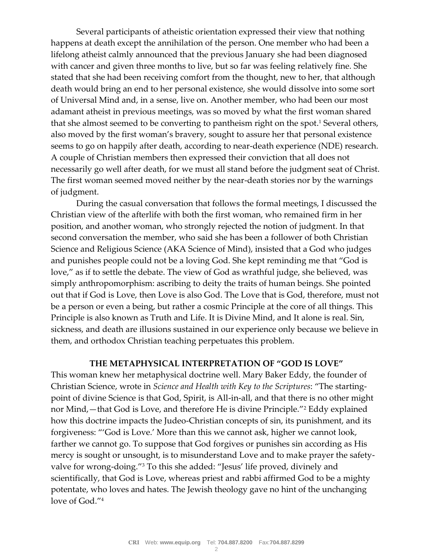Several participants of atheistic orientation expressed their view that nothing happens at death except the annihilation of the person. One member who had been a lifelong atheist calmly announced that the previous January she had been diagnosed with cancer and given three months to live, but so far was feeling relatively fine. She stated that she had been receiving comfort from the thought, new to her, that although death would bring an end to her personal existence, she would dissolve into some sort of Universal Mind and, in a sense, live on. Another member, who had been our most adamant atheist in previous meetings, was so moved by what the first woman shared that she almost seemed to be converting to pantheism right on the spot.<sup>1</sup> Several others, also moved by the first woman's bravery, sought to assure her that personal existence seems to go on happily after death, according to near-death experience (NDE) research. A couple of Christian members then expressed their conviction that all does not necessarily go well after death, for we must all stand before the judgment seat of Christ. The first woman seemed moved neither by the near-death stories nor by the warnings of judgment.

During the casual conversation that follows the formal meetings, I discussed the Christian view of the afterlife with both the first woman, who remained firm in her position, and another woman, who strongly rejected the notion of judgment. In that second conversation the member, who said she has been a follower of both Christian Science and Religious Science (AKA Science of Mind), insisted that a God who judges and punishes people could not be a loving God. She kept reminding me that "God is love," as if to settle the debate. The view of God as wrathful judge, she believed, was simply anthropomorphism: ascribing to deity the traits of human beings. She pointed out that if God is Love, then Love is also God. The Love that is God, therefore, must not be a person or even a being, but rather a cosmic Principle at the core of all things. This Principle is also known as Truth and Life. It is Divine Mind, and It alone is real. Sin, sickness, and death are illusions sustained in our experience only because we believe in them, and orthodox Christian teaching perpetuates this problem.

### **THE METAPHYSICAL INTERPRETATION OF "GOD IS LOVE"**

This woman knew her metaphysical doctrine well. Mary Baker Eddy, the founder of Christian Science, wrote in *Science and Health with Key to the Scriptures*: "The startingpoint of divine Science is that God, Spirit, is All-in-all, and that there is no other might nor Mind,—that God is Love, and therefore He is divine Principle."<sup>2</sup> Eddy explained how this doctrine impacts the Judeo-Christian concepts of sin, its punishment, and its forgiveness: "'God is Love.' More than this we cannot ask, higher we cannot look, farther we cannot go. To suppose that God forgives or punishes sin according as His mercy is sought or unsought, is to misunderstand Love and to make prayer the safetyvalve for wrong-doing."<sup>3</sup> To this she added: "Jesus' life proved, divinely and scientifically, that God is Love, whereas priest and rabbi affirmed God to be a mighty potentate, who loves and hates. The Jewish theology gave no hint of the unchanging love of God."4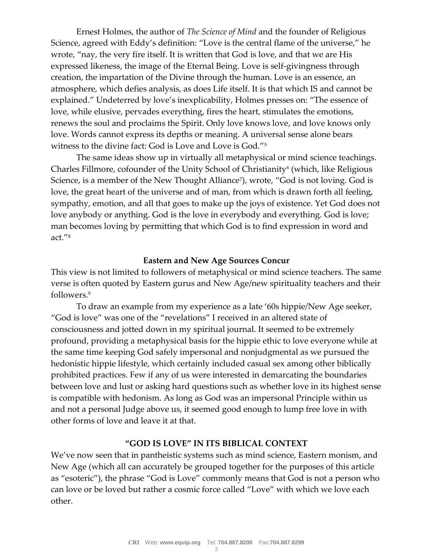Ernest Holmes, the author of *The Science of Mind* and the founder of Religious Science, agreed with Eddy's definition: "Love is the central flame of the universe," he wrote, "nay, the very fire itself. It is written that God is love, and that we are His expressed likeness, the image of the Eternal Being. Love is self-givingness through creation, the impartation of the Divine through the human. Love is an essence, an atmosphere, which defies analysis, as does Life itself. It is that which IS and cannot be explained." Undeterred by love's inexplicability, Holmes presses on: "The essence of love, while elusive, pervades everything, fires the heart, stimulates the emotions, renews the soul and proclaims the Spirit. Only love knows love, and love knows only love. Words cannot express its depths or meaning. A universal sense alone bears witness to the divine fact: God is Love and Love is God."<sup>5</sup>

The same ideas show up in virtually all metaphysical or mind science teachings. Charles Fillmore, cofounder of the Unity School of Christianity<sup>6</sup> (which, like Religious Science, is a member of the New Thought Alliance<sup>7</sup> ), wrote, "God is not loving. God is love, the great heart of the universe and of man, from which is drawn forth all feeling, sympathy, emotion, and all that goes to make up the joys of existence. Yet God does not love anybody or anything. God is the love in everybody and everything. God is love; man becomes loving by permitting that which God is to find expression in word and act."<sup>8</sup>

### **Eastern and New Age Sources Concur**

This view is not limited to followers of metaphysical or mind science teachers. The same verse is often quoted by Eastern gurus and New Age/new spirituality teachers and their followers.<sup>9</sup>

To draw an example from my experience as a late '60s hippie/New Age seeker, "God is love" was one of the "revelations" I received in an altered state of consciousness and jotted down in my spiritual journal. It seemed to be extremely profound, providing a metaphysical basis for the hippie ethic to love everyone while at the same time keeping God safely impersonal and nonjudgmental as we pursued the hedonistic hippie lifestyle, which certainly included casual sex among other biblically prohibited practices. Few if any of us were interested in demarcating the boundaries between love and lust or asking hard questions such as whether love in its highest sense is compatible with hedonism. As long as God was an impersonal Principle within us and not a personal Judge above us, it seemed good enough to lump free love in with other forms of love and leave it at that.

## **"GOD IS LOVE" IN ITS BIBLICAL CONTEXT**

We've now seen that in pantheistic systems such as mind science, Eastern monism, and New Age (which all can accurately be grouped together for the purposes of this article as "esoteric"), the phrase "God is Love" commonly means that God is not a person who can love or be loved but rather a cosmic force called "Love" with which we love each other.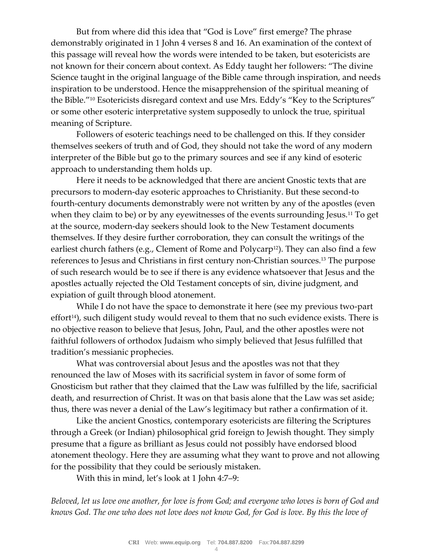But from where did this idea that "God is Love" first emerge? The phrase demonstrably originated in 1 John 4 verses 8 and 16. An examination of the context of this passage will reveal how the words were intended to be taken, but esotericists are not known for their concern about context. As Eddy taught her followers: "The divine Science taught in the original language of the Bible came through inspiration, and needs inspiration to be understood. Hence the misapprehension of the spiritual meaning of the Bible."<sup>10</sup> Esotericists disregard context and use Mrs. Eddy's "Key to the Scriptures" or some other esoteric interpretative system supposedly to unlock the true, spiritual meaning of Scripture.

Followers of esoteric teachings need to be challenged on this. If they consider themselves seekers of truth and of God, they should not take the word of any modern interpreter of the Bible but go to the primary sources and see if any kind of esoteric approach to understanding them holds up.

Here it needs to be acknowledged that there are ancient Gnostic texts that are precursors to modern-day esoteric approaches to Christianity. But these second-to fourth-century documents demonstrably were not written by any of the apostles (even when they claim to be) or by any eyewitnesses of the events surrounding Jesus.<sup>11</sup> To get at the source, modern-day seekers should look to the New Testament documents themselves. If they desire further corroboration, they can consult the writings of the earliest church fathers (e.g., Clement of Rome and Polycarp<sup>12</sup>). They can also find a few references to Jesus and Christians in first century non-Christian sources.<sup>13</sup> The purpose of such research would be to see if there is any evidence whatsoever that Jesus and the apostles actually rejected the Old Testament concepts of sin, divine judgment, and expiation of guilt through blood atonement.

While I do not have the space to demonstrate it here (see my previous two-part  $effort<sup>14</sup>$ , such diligent study would reveal to them that no such evidence exists. There is no objective reason to believe that Jesus, John, Paul, and the other apostles were not faithful followers of orthodox Judaism who simply believed that Jesus fulfilled that tradition's messianic prophecies.

What was controversial about Jesus and the apostles was not that they renounced the law of Moses with its sacrificial system in favor of some form of Gnosticism but rather that they claimed that the Law was fulfilled by the life, sacrificial death, and resurrection of Christ. It was on that basis alone that the Law was set aside; thus, there was never a denial of the Law's legitimacy but rather a confirmation of it.

Like the ancient Gnostics, contemporary esotericists are filtering the Scriptures through a Greek (or Indian) philosophical grid foreign to Jewish thought. They simply presume that a figure as brilliant as Jesus could not possibly have endorsed blood atonement theology. Here they are assuming what they want to prove and not allowing for the possibility that they could be seriously mistaken.

With this in mind, let's look at 1 John 4:7–9:

*Beloved, let us love one another, for love is from God; and everyone who loves is born of God and knows God. The one who does not love does not know God, for God is love. By this the love of*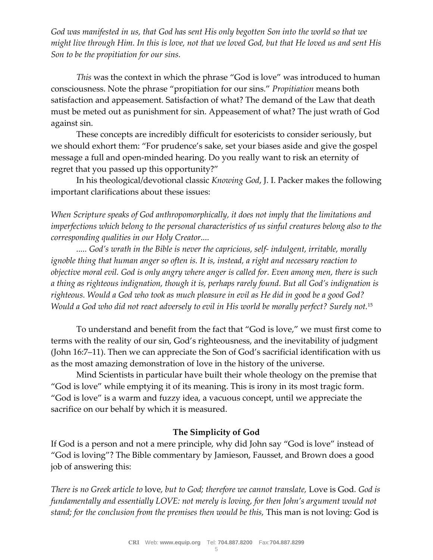*God was manifested in us, that God has sent His only begotten Son into the world so that we might live through Him. In this is love, not that we loved God, but that He loved us and sent His Son to be the propitiation for our sins.*

*This* was the context in which the phrase "God is love" was introduced to human consciousness. Note the phrase "propitiation for our sins." *Propitiation* means both satisfaction and appeasement. Satisfaction of what? The demand of the Law that death must be meted out as punishment for sin. Appeasement of what? The just wrath of God against sin.

These concepts are incredibly difficult for esotericists to consider seriously, but we should exhort them: "For prudence's sake, set your biases aside and give the gospel message a full and open-minded hearing. Do you really want to risk an eternity of regret that you passed up this opportunity?"

In his theological/devotional classic *Knowing God*, J. I. Packer makes the following important clarifications about these issues:

*When Scripture speaks of God anthropomorphically, it does not imply that the limitations and imperfections which belong to the personal characteristics of us sinful creatures belong also to the corresponding qualities in our Holy Creator....*

*..... God's wrath in the Bible is never the capricious, self- indulgent, irritable, morally ignoble thing that human anger so often is. It is, instead, a right and necessary reaction to objective moral evil. God is only angry where anger is called for. Even among men, there is such a thing as righteous indignation, though it is, perhaps rarely found. But all God's indignation is righteous. Would a God who took as much pleasure in evil as He did in good be a good God? Would a God who did not react adversely to evil in His world be morally perfect? Surely not.*<sup>15</sup>

To understand and benefit from the fact that "God is love," we must first come to terms with the reality of our sin, God's righteousness, and the inevitability of judgment (John 16:7–11). Then we can appreciate the Son of God's sacrificial identification with us as the most amazing demonstration of love in the history of the universe.

Mind Scientists in particular have built their whole theology on the premise that "God is love" while emptying it of its meaning. This is irony in its most tragic form. "God is love" is a warm and fuzzy idea, a vacuous concept, until we appreciate the sacrifice on our behalf by which it is measured.

## **The Simplicity of God**

If God is a person and not a mere principle, why did John say "God is love" instead of "God is loving"? The Bible commentary by Jamieson, Fausset, and Brown does a good job of answering this:

*There is no Greek article to* love*, but to God; therefore we cannot translate,* Love is God*. God is fundamentally and essentially LOVE: not merely is loving, for then John's argument would not stand; for the conclusion from the premises then would be this,* This man is not loving: God is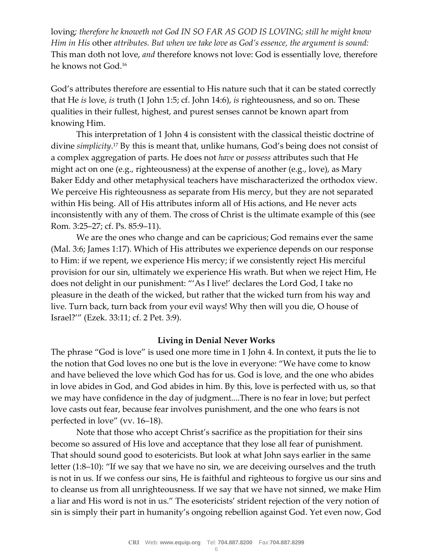loving*; therefore he knoweth not God IN SO FAR AS GOD IS LOVING; still he might know Him in His* other *attributes. But when we take love as God's essence, the argument is sound:*  This man doth not love, *and* therefore knows not love: God is essentially love, therefore he knows not God.<sup>16</sup>

God's attributes therefore are essential to His nature such that it can be stated correctly that He *is* love, *is* truth (1 John 1:5; cf. John 14:6), *is* righteousness, and so on. These qualities in their fullest, highest, and purest senses cannot be known apart from knowing Him.

This interpretation of 1 John 4 is consistent with the classical theistic doctrine of divine *simplicity*. <sup>17</sup> By this is meant that, unlike humans, God's being does not consist of a complex aggregation of parts. He does not *have* or *possess* attributes such that He might act on one (e.g., righteousness) at the expense of another (e.g., love), as Mary Baker Eddy and other metaphysical teachers have mischaracterized the orthodox view. We perceive His righteousness as separate from His mercy, but they are not separated within His being. All of His attributes inform all of His actions, and He never acts inconsistently with any of them. The cross of Christ is the ultimate example of this (see Rom. 3:25–27; cf. Ps. 85:9–11).

We are the ones who change and can be capricious; God remains ever the same (Mal. 3:6; James 1:17). Which of His attributes we experience depends on our response to Him: if we repent, we experience His mercy; if we consistently reject His merciful provision for our sin, ultimately we experience His wrath. But when we reject Him, He does not delight in our punishment: "'As I live!' declares the Lord God, I take no pleasure in the death of the wicked, but rather that the wicked turn from his way and live. Turn back, turn back from your evil ways! Why then will you die, O house of Israel?'" (Ezek. 33:11; cf. 2 Pet. 3:9).

### **Living in Denial Never Works**

The phrase "God is love" is used one more time in 1 John 4. In context, it puts the lie to the notion that God loves no one but is the love in everyone: "We have come to know and have believed the love which God has for us. God is love, and the one who abides in love abides in God, and God abides in him. By this, love is perfected with us, so that we may have confidence in the day of judgment....There is no fear in love; but perfect love casts out fear, because fear involves punishment, and the one who fears is not perfected in love" (vv. 16–18).

Note that those who accept Christ's sacrifice as the propitiation for their sins become so assured of His love and acceptance that they lose all fear of punishment. That should sound good to esotericists. But look at what John says earlier in the same letter (1:8–10): "If we say that we have no sin, we are deceiving ourselves and the truth is not in us. If we confess our sins, He is faithful and righteous to forgive us our sins and to cleanse us from all unrighteousness. If we say that we have not sinned, we make Him a liar and His word is not in us." The esotericists' strident rejection of the very notion of sin is simply their part in humanity's ongoing rebellion against God. Yet even now, God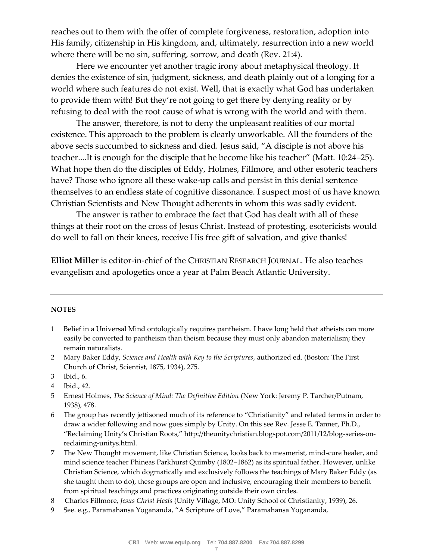reaches out to them with the offer of complete forgiveness, restoration, adoption into His family, citizenship in His kingdom, and, ultimately, resurrection into a new world where there will be no sin, suffering, sorrow, and death (Rev. 21:4).

Here we encounter yet another tragic irony about metaphysical theology. It denies the existence of sin, judgment, sickness, and death plainly out of a longing for a world where such features do not exist. Well, that is exactly what God has undertaken to provide them with! But they're not going to get there by denying reality or by refusing to deal with the root cause of what is wrong with the world and with them.

The answer, therefore, is not to deny the unpleasant realities of our mortal existence. This approach to the problem is clearly unworkable. All the founders of the above sects succumbed to sickness and died. Jesus said, "A disciple is not above his teacher....It is enough for the disciple that he become like his teacher" (Matt. 10:24–25). What hope then do the disciples of Eddy, Holmes, Fillmore, and other esoteric teachers have? Those who ignore all these wake-up calls and persist in this denial sentence themselves to an endless state of cognitive dissonance. I suspect most of us have known Christian Scientists and New Thought adherents in whom this was sadly evident.

The answer is rather to embrace the fact that God has dealt with all of these things at their root on the cross of Jesus Christ. Instead of protesting, esotericists would do well to fall on their knees, receive His free gift of salvation, and give thanks!

**Elliot Miller** is editor-in-chief of the CHRISTIAN RESEARCH JOURNAL. He also teaches evangelism and apologetics once a year at Palm Beach Atlantic University.

#### **NOTES**

- 1 Belief in a Universal Mind ontologically requires pantheism. I have long held that atheists can more easily be converted to pantheism than theism because they must only abandon materialism; they remain naturalists.
- 2 Mary Baker Eddy, *Science and Health with Key to the Scriptures*, authorized ed. (Boston: The First Church of Christ, Scientist, 1875, 1934), 275.
- 3 Ibid., 6.
- 4 Ibid., 42.
- 5 Ernest Holmes, *The Science of Mind: The Definitive Edition* (New York: Jeremy P. Tarcher/Putnam, 1938), 478.
- 6 The group has recently jettisoned much of its reference to "Christianity" and related terms in order to draw a wider following and now goes simply by Unity. On this see Rev. Jesse E. Tanner, Ph.D., "Reclaiming Unity's Christian Roots," http://theunitychristian.blogspot.com/2011/12/blog-series-onreclaiming-unitys.html.
- 7 The New Thought movement, like Christian Science, looks back to mesmerist, mind-cure healer, and mind science teacher Phineas Parkhurst Quimby (1802–1862) as its spiritual father. However, unlike Christian Science, which dogmatically and exclusively follows the teachings of Mary Baker Eddy (as she taught them to do), these groups are open and inclusive, encouraging their members to benefit from spiritual teachings and practices originating outside their own circles.
- 8 Charles Fillmore, *Jesus Christ Heals* (Unity Village, MO: Unity School of Christianity, 1939), 26.
- 9 See. e.g., Paramahansa Yogananda, "A Scripture of Love," Paramahansa Yogananda,